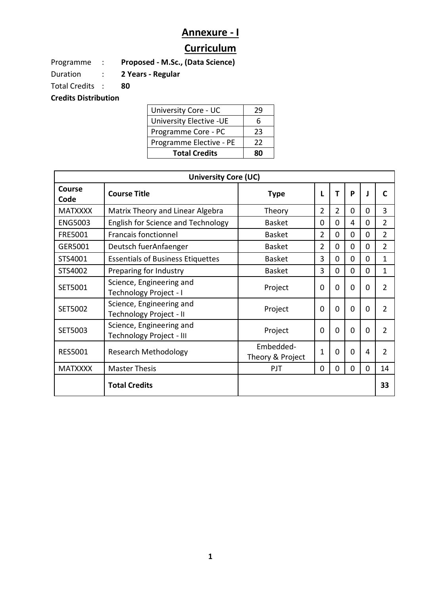## **Annexure - I**

## **Curriculum**

Programme : **Proposed - M.Sc., (Data Science)**

Duration : **2 Years - Regular**

Total Credits : **80**

**Credits Distribution** 

| University Core - UC     | 79 |
|--------------------------|----|
| University Elective - UE | 6  |
| Programme Core - PC      | 23 |
| Programme Elective - PE  | 22 |
| <b>Total Credits</b>     | RΠ |

| <b>University Core (UC)</b> |                                                      |                               |                |                |              |          |                |
|-----------------------------|------------------------------------------------------|-------------------------------|----------------|----------------|--------------|----------|----------------|
| Course<br>Code              | <b>Course Title</b>                                  | <b>Type</b>                   |                | т              | P            |          | C              |
| <b>MATXXXX</b>              | Matrix Theory and Linear Algebra                     | Theory                        | $\overline{2}$ | $\overline{2}$ | 0            | 0        | $\overline{3}$ |
| <b>ENG5003</b>              | <b>English for Science and Technology</b>            | <b>Basket</b>                 | $\Omega$       | 0              | 4            | $\Omega$ | $\overline{2}$ |
| FRE5001                     | <b>Francais fonctionnel</b>                          | <b>Basket</b>                 | $\overline{2}$ | 0              | 0            | $\Omega$ | 2              |
| GER5001                     | Deutsch fuerAnfaenger                                | <b>Basket</b>                 | $\overline{2}$ | 0              | $\Omega$     | $\Omega$ | 2              |
| STS4001                     | <b>Essentials of Business Etiquettes</b>             | <b>Basket</b>                 | 3              | 0              | 0            | $\Omega$ | 1              |
| STS4002                     | Preparing for Industry                               | <b>Basket</b>                 | 3              | $\overline{0}$ | $\Omega$     | $\Omega$ | 1              |
| SET5001                     | Science, Engineering and<br>Technology Project - I   | Project                       | $\Omega$       | $\Omega$       | $\Omega$     | 0        | $\mathcal{P}$  |
| SET5002                     | Science, Engineering and<br>Technology Project - II  | Project                       | $\Omega$       | $\Omega$       | <sup>0</sup> | $\Omega$ | $\mathcal{P}$  |
| SET5003                     | Science, Engineering and<br>Technology Project - III | Project                       | $\Omega$       | $\Omega$       | $\Omega$     | 0        | $\overline{2}$ |
| <b>RES5001</b>              | <b>Research Methodology</b>                          | Embedded-<br>Theory & Project | 1              | $\Omega$       | 0            | 4        | $\mathfrak z$  |
| <b>MATXXXX</b>              | <b>Master Thesis</b>                                 | PJT                           | $\Omega$       | $\Omega$       | 0            | $\Omega$ | 14             |
|                             | <b>Total Credits</b>                                 |                               |                |                |              |          | 33             |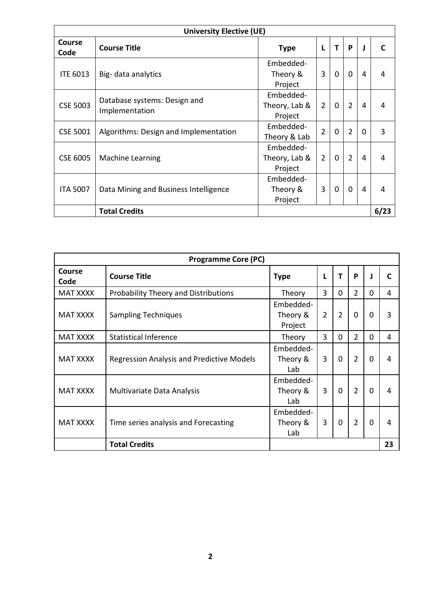| <b>University Elective (UE)</b> |                                                |                                       |                |          |                |          |      |
|---------------------------------|------------------------------------------------|---------------------------------------|----------------|----------|----------------|----------|------|
| <b>Course</b><br>Code           | <b>Course Title</b>                            | Type                                  | L              | т        | P              | J        | C    |
| <b>ITE 6013</b>                 | Big-data analytics                             | Embedded-<br>Theory &<br>Project      | 3              | $\Omega$ | $\Omega$       | 4        | 4    |
| <b>CSE 5003</b>                 | Database systems: Design and<br>Implementation | Embedded-<br>Theory, Lab &<br>Project | $\overline{2}$ | $\Omega$ | $\overline{2}$ | 4        | 4    |
| <b>CSE 5001</b>                 | Algorithms: Design and Implementation          | Embedded-<br>Theory & Lab             | $\overline{2}$ | $\Omega$ | $\overline{2}$ | $\Omega$ | 3    |
| <b>CSE 6005</b>                 | <b>Machine Learning</b>                        | Embedded-<br>Theory, Lab &<br>Project | $\overline{2}$ | $\Omega$ | $\overline{2}$ | 4        | 4    |
| <b>ITA 5007</b>                 | Data Mining and Business Intelligence          | Embedded-<br>Theory &<br>Project      | 3              | $\Omega$ | $\mathbf{0}$   | 4        | 4    |
|                                 | <b>Total Credits</b>                           |                                       |                |          |                |          | 6/23 |

| <b>Programme Core (PC)</b> |                                                  |                                  |                |                |                |          |    |
|----------------------------|--------------------------------------------------|----------------------------------|----------------|----------------|----------------|----------|----|
| Course<br>Code             | <b>Course Title</b>                              | <b>Type</b>                      | L              | т              | P              |          | C  |
| <b>MAT XXXX</b>            | <b>Probability Theory and Distributions</b>      | Theory                           | 3              | 0              | $\overline{2}$ | $\Omega$ | 4  |
| <b>MAT XXXX</b>            | <b>Sampling Techniques</b>                       | Embedded-<br>Theory &<br>Project | $\overline{2}$ | $\overline{2}$ | $\Omega$       | 0        | 3  |
| <b>MAT XXXX</b>            | <b>Statistical Inference</b>                     | Theory                           | 3              | 0              | $\overline{2}$ | $\Omega$ | 4  |
| <b>MAT XXXX</b>            | <b>Regression Analysis and Predictive Models</b> | Embedded-<br>Theory &<br>Lab     | 3              | $\Omega$       | $\overline{2}$ | $\Omega$ | 4  |
| <b>MAT XXXX</b>            | <b>Multivariate Data Analysis</b>                | Embedded-<br>Theory &<br>Lab     | 3              | $\Omega$       | $\overline{2}$ | $\Omega$ | 4  |
| <b>MAT XXXX</b>            | Time series analysis and Forecasting             | Embedded-<br>Theory &<br>Lab     | 3              | $\Omega$       | $\overline{2}$ | 0        | 4  |
|                            | <b>Total Credits</b>                             |                                  |                |                |                |          | 23 |